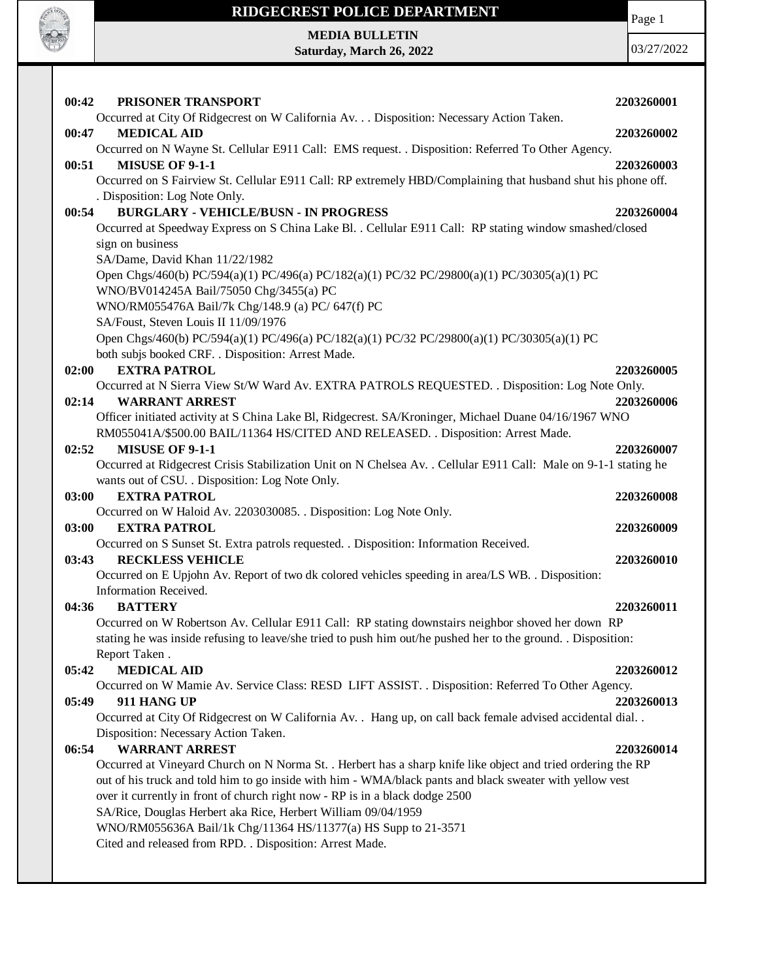

### **RIDGECREST POLICE DEPARTMENT MEDIA BULLETIN**

**Saturday, March 26, 2022**

03/27/2022

Page 1

| 00:42<br>PRISONER TRANSPORT                                                                                                 | 2203260001 |
|-----------------------------------------------------------------------------------------------------------------------------|------------|
| Occurred at City Of Ridgecrest on W California Av. Disposition: Necessary Action Taken.                                     |            |
| <b>MEDICAL AID</b><br>00:47                                                                                                 | 2203260002 |
| Occurred on N Wayne St. Cellular E911 Call: EMS request. . Disposition: Referred To Other Agency.                           |            |
| <b>MISUSE OF 9-1-1</b><br>00:51                                                                                             | 2203260003 |
| Occurred on S Fairview St. Cellular E911 Call: RP extremely HBD/Complaining that husband shut his phone off.                |            |
| . Disposition: Log Note Only.                                                                                               |            |
| <b>BURGLARY - VEHICLE/BUSN - IN PROGRESS</b><br>00:54                                                                       | 2203260004 |
| Occurred at Speedway Express on S China Lake Bl. . Cellular E911 Call: RP stating window smashed/closed<br>sign on business |            |
| SA/Dame, David Khan 11/22/1982                                                                                              |            |
| Open Chgs/460(b) PC/594(a)(1) PC/496(a) PC/182(a)(1) PC/32 PC/29800(a)(1) PC/30305(a)(1) PC                                 |            |
| WNO/BV014245A Bail/75050 Chg/3455(a) PC                                                                                     |            |
| WNO/RM055476A Bail/7k Chg/148.9 (a) PC/ 647(f) PC                                                                           |            |
| SA/Foust, Steven Louis II 11/09/1976                                                                                        |            |
| Open Chgs/460(b) PC/594(a)(1) PC/496(a) PC/182(a)(1) PC/32 PC/29800(a)(1) PC/30305(a)(1) PC                                 |            |
| both subjs booked CRF. . Disposition: Arrest Made.                                                                          |            |
| <b>EXTRA PATROL</b><br>02:00                                                                                                | 2203260005 |
| Occurred at N Sierra View St/W Ward Av. EXTRA PATROLS REQUESTED. . Disposition: Log Note Only.                              |            |
| 02:14<br><b>WARRANT ARREST</b>                                                                                              | 2203260006 |
| Officer initiated activity at S China Lake Bl, Ridgecrest. SA/Kroninger, Michael Duane 04/16/1967 WNO                       |            |
| RM055041A/\$500.00 BAIL/11364 HS/CITED AND RELEASED. . Disposition: Arrest Made.                                            |            |
| <b>MISUSE OF 9-1-1</b><br>02:52                                                                                             | 2203260007 |
| Occurred at Ridgecrest Crisis Stabilization Unit on N Chelsea Av. . Cellular E911 Call: Male on 9-1-1 stating he            |            |
| wants out of CSU. . Disposition: Log Note Only.                                                                             |            |
| 03:00<br><b>EXTRA PATROL</b>                                                                                                | 2203260008 |
| Occurred on W Haloid Av. 2203030085. . Disposition: Log Note Only.                                                          |            |
| 03:00<br><b>EXTRA PATROL</b>                                                                                                | 2203260009 |
| Occurred on S Sunset St. Extra patrols requested. . Disposition: Information Received.<br><b>RECKLESS VEHICLE</b><br>03:43  | 2203260010 |
| Occurred on E Upjohn Av. Report of two dk colored vehicles speeding in area/LS WB. . Disposition:                           |            |
| Information Received.                                                                                                       |            |
| <b>BATTERY</b><br>04:36                                                                                                     | 2203260011 |
| Occurred on W Robertson Av. Cellular E911 Call: RP stating downstairs neighbor shoved her down RP                           |            |
| stating he was inside refusing to leave/she tried to push him out/he pushed her to the ground. Disposition:                 |            |
| Report Taken.                                                                                                               |            |
| <b>MEDICAL AID</b><br>05:42                                                                                                 | 2203260012 |
| Occurred on W Mamie Av. Service Class: RESD LIFT ASSIST. . Disposition: Referred To Other Agency.                           |            |
| 05:49<br>911 HANG UP                                                                                                        | 2203260013 |
| Occurred at City Of Ridgecrest on W California Av. . Hang up, on call back female advised accidental dial                   |            |
| Disposition: Necessary Action Taken.                                                                                        |            |
| <b>WARRANT ARREST</b><br>06:54                                                                                              | 2203260014 |
| Occurred at Vineyard Church on N Norma St. . Herbert has a sharp knife like object and tried ordering the RP                |            |
| out of his truck and told him to go inside with him - WMA/black pants and black sweater with yellow vest                    |            |
| over it currently in front of church right now - RP is in a black dodge 2500                                                |            |
| SA/Rice, Douglas Herbert aka Rice, Herbert William 09/04/1959                                                               |            |
| WNO/RM055636A Bail/1k Chg/11364 HS/11377(a) HS Supp to 21-3571                                                              |            |
| Cited and released from RPD. . Disposition: Arrest Made.                                                                    |            |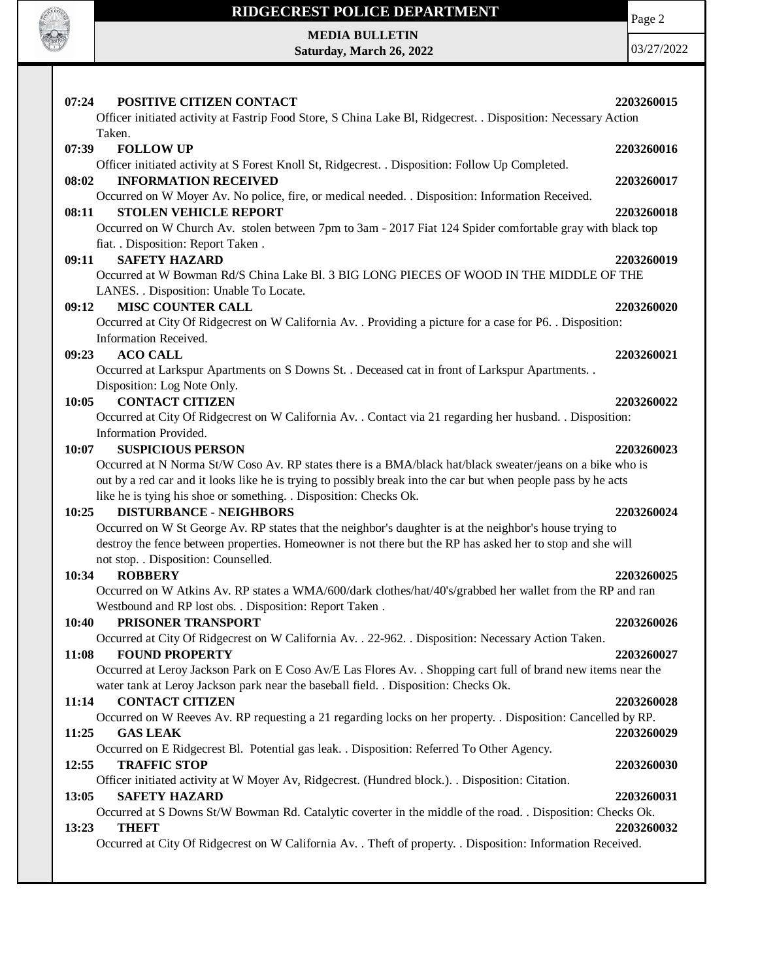

#### **RIDGECREST POLICE DEPARTMENT**

Page 2

**MEDIA BULLETIN Saturday, March 26, 2022**

03/27/2022

| POSITIVE CITIZEN CONTACT<br>07:24                                                                                               | 2203260015 |
|---------------------------------------------------------------------------------------------------------------------------------|------------|
| Officer initiated activity at Fastrip Food Store, S China Lake Bl, Ridgecrest. . Disposition: Necessary Action                  |            |
| Taken.                                                                                                                          |            |
| 07:39<br><b>FOLLOW UP</b>                                                                                                       | 2203260016 |
| Officer initiated activity at S Forest Knoll St, Ridgecrest. . Disposition: Follow Up Completed.<br><b>INFORMATION RECEIVED</b> |            |
| 08:02<br>Occurred on W Moyer Av. No police, fire, or medical needed. . Disposition: Information Received.                       | 2203260017 |
| <b>STOLEN VEHICLE REPORT</b><br>08:11                                                                                           | 2203260018 |
| Occurred on W Church Av. stolen between 7pm to 3am - 2017 Fiat 124 Spider comfortable gray with black top                       |            |
| fiat. . Disposition: Report Taken .                                                                                             |            |
| <b>SAFETY HAZARD</b><br>09:11                                                                                                   | 2203260019 |
| Occurred at W Bowman Rd/S China Lake Bl. 3 BIG LONG PIECES OF WOOD IN THE MIDDLE OF THE                                         |            |
| LANES. . Disposition: Unable To Locate.                                                                                         |            |
| <b>MISC COUNTER CALL</b><br>09:12                                                                                               | 2203260020 |
| Occurred at City Of Ridgecrest on W California Av. . Providing a picture for a case for P6. . Disposition:                      |            |
| Information Received.                                                                                                           |            |
| <b>ACO CALL</b><br>09:23                                                                                                        | 2203260021 |
| Occurred at Larkspur Apartments on S Downs St. . Deceased cat in front of Larkspur Apartments. .                                |            |
| Disposition: Log Note Only.                                                                                                     |            |
| <b>CONTACT CITIZEN</b><br>10:05                                                                                                 | 2203260022 |
| Occurred at City Of Ridgecrest on W California Av. . Contact via 21 regarding her husband. . Disposition:                       |            |
| Information Provided.                                                                                                           |            |
| <b>SUSPICIOUS PERSON</b><br>10:07                                                                                               | 2203260023 |
| Occurred at N Norma St/W Coso Av. RP states there is a BMA/black hat/black sweater/jeans on a bike who is                       |            |
| out by a red car and it looks like he is trying to possibly break into the car but when people pass by he acts                  |            |
| like he is tying his shoe or something. . Disposition: Checks Ok.<br><b>DISTURBANCE - NEIGHBORS</b><br>10:25                    | 2203260024 |
| Occurred on W St George Av. RP states that the neighbor's daughter is at the neighbor's house trying to                         |            |
| destroy the fence between properties. Homeowner is not there but the RP has asked her to stop and she will                      |            |
| not stop. . Disposition: Counselled.                                                                                            |            |
| <b>ROBBERY</b><br>10:34                                                                                                         | 2203260025 |
| Occurred on W Atkins Av. RP states a WMA/600/dark clothes/hat/40's/grabbed her wallet from the RP and ran                       |            |
| Westbound and RP lost obs. . Disposition: Report Taken.                                                                         |            |
| PRISONER TRANSPORT<br>10:40                                                                                                     | 2203260026 |
| Occurred at City Of Ridgecrest on W California Av. . 22-962. . Disposition: Necessary Action Taken.                             |            |
| <b>FOUND PROPERTY</b><br>11:08                                                                                                  | 2203260027 |
| Occurred at Leroy Jackson Park on E Coso Av/E Las Flores Av. . Shopping cart full of brand new items near the                   |            |
| water tank at Leroy Jackson park near the baseball field. . Disposition: Checks Ok.                                             |            |
| <b>CONTACT CITIZEN</b><br>11:14                                                                                                 | 2203260028 |
| Occurred on W Reeves Av. RP requesting a 21 regarding locks on her property. . Disposition: Cancelled by RP.                    |            |
| <b>GAS LEAK</b><br>11:25                                                                                                        | 2203260029 |
| Occurred on E Ridgecrest Bl. Potential gas leak. . Disposition: Referred To Other Agency.                                       |            |
| 12:55<br><b>TRAFFIC STOP</b>                                                                                                    | 2203260030 |
| Officer initiated activity at W Moyer Av, Ridgecrest. (Hundred block.). . Disposition: Citation.                                |            |
| 13:05<br><b>SAFETY HAZARD</b>                                                                                                   | 2203260031 |
| Occurred at S Downs St/W Bowman Rd. Catalytic coverter in the middle of the road. . Disposition: Checks Ok.                     |            |
| 13:23<br><b>THEFT</b>                                                                                                           | 2203260032 |
| Occurred at City Of Ridgecrest on W California Av. . Theft of property. . Disposition: Information Received.                    |            |
|                                                                                                                                 |            |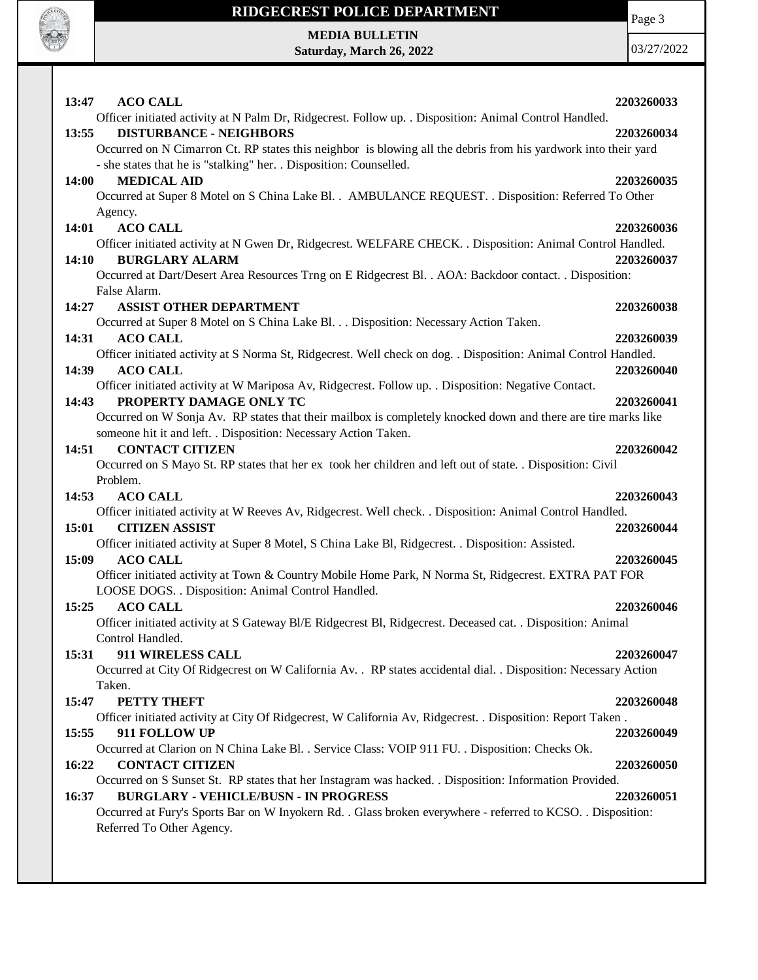

#### **RIDGECREST POLICE DEPARTMENT**

Page 3

**MEDIA BULLETIN Saturday, March 26, 2022**

03/27/2022

| 13:47 ACO CALL<br>2203260033                                                                                                                                    |
|-----------------------------------------------------------------------------------------------------------------------------------------------------------------|
| Officer initiated activity at N Palm Dr, Ridgecrest. Follow up. . Disposition: Animal Control Handled.                                                          |
| <b>DISTURBANCE - NEIGHBORS</b><br>13:55<br>2203260034                                                                                                           |
| Occurred on N Cimarron Ct. RP states this neighbor is blowing all the debris from his yardwork into their yard                                                  |
| - she states that he is "stalking" her. . Disposition: Counselled.                                                                                              |
| <b>MEDICAL AID</b><br>14:00<br>2203260035                                                                                                                       |
| Occurred at Super 8 Motel on S China Lake Bl. . AMBULANCE REQUEST. . Disposition: Referred To Other<br>Agency.                                                  |
| 14:01<br><b>ACO CALL</b><br>2203260036                                                                                                                          |
| Officer initiated activity at N Gwen Dr, Ridgecrest. WELFARE CHECK. . Disposition: Animal Control Handled.                                                      |
| <b>BURGLARY ALARM</b><br>14:10<br>2203260037                                                                                                                    |
| Occurred at Dart/Desert Area Resources Trng on E Ridgecrest Bl. . AOA: Backdoor contact. . Disposition:                                                         |
| False Alarm.                                                                                                                                                    |
| <b>ASSIST OTHER DEPARTMENT</b><br>14:27<br>2203260038                                                                                                           |
| Occurred at Super 8 Motel on S China Lake Bl. Disposition: Necessary Action Taken.                                                                              |
| 14:31<br><b>ACO CALL</b><br>2203260039                                                                                                                          |
| Officer initiated activity at S Norma St, Ridgecrest. Well check on dog. . Disposition: Animal Control Handled.                                                 |
| 14:39<br><b>ACO CALL</b><br>2203260040                                                                                                                          |
| Officer initiated activity at W Mariposa Av, Ridgecrest. Follow up. . Disposition: Negative Contact.                                                            |
| PROPERTY DAMAGE ONLY TC<br>14:43<br>2203260041<br>Occurred on W Sonja Av. RP states that their mailbox is completely knocked down and there are tire marks like |
| someone hit it and left. . Disposition: Necessary Action Taken.                                                                                                 |
| <b>CONTACT CITIZEN</b><br>14:51<br>2203260042                                                                                                                   |
| Occurred on S Mayo St. RP states that her ex took her children and left out of state. . Disposition: Civil                                                      |
| Problem.                                                                                                                                                        |
| 14:53<br><b>ACO CALL</b><br>2203260043                                                                                                                          |
| Officer initiated activity at W Reeves Av, Ridgecrest. Well check. . Disposition: Animal Control Handled.                                                       |
| 15:01<br><b>CITIZEN ASSIST</b><br>2203260044                                                                                                                    |
| Officer initiated activity at Super 8 Motel, S China Lake Bl, Ridgecrest. . Disposition: Assisted.                                                              |
| 15:09<br><b>ACO CALL</b><br>2203260045                                                                                                                          |
| Officer initiated activity at Town & Country Mobile Home Park, N Norma St, Ridgecrest. EXTRA PAT FOR                                                            |
| LOOSE DOGS. . Disposition: Animal Control Handled.                                                                                                              |
| <b>ACO CALL</b><br>15:25<br>2203260046                                                                                                                          |
| Officer initiated activity at S Gateway Bl/E Ridgecrest Bl, Ridgecrest. Deceased cat. . Disposition: Animal<br>Control Handled.                                 |
| 911 WIRELESS CALL<br>2203260047<br>15:31                                                                                                                        |
| Occurred at City Of Ridgecrest on W California Av. . RP states accidental dial. . Disposition: Necessary Action                                                 |
| Taken.                                                                                                                                                          |
| PETTY THEFT<br>15:47<br>2203260048                                                                                                                              |
| Officer initiated activity at City Of Ridgecrest, W California Av, Ridgecrest. . Disposition: Report Taken.                                                     |
| 15:55<br>911 FOLLOW UP<br>2203260049                                                                                                                            |
| Occurred at Clarion on N China Lake Bl. . Service Class: VOIP 911 FU. . Disposition: Checks Ok.                                                                 |
| 16:22<br><b>CONTACT CITIZEN</b><br>2203260050                                                                                                                   |
| Occurred on S Sunset St. RP states that her Instagram was hacked. . Disposition: Information Provided.                                                          |
| <b>BURGLARY - VEHICLE/BUSN - IN PROGRESS</b><br>16:37<br>2203260051                                                                                             |
| Occurred at Fury's Sports Bar on W Inyokern Rd. . Glass broken everywhere - referred to KCSO. . Disposition:<br>Referred To Other Agency.                       |
|                                                                                                                                                                 |
|                                                                                                                                                                 |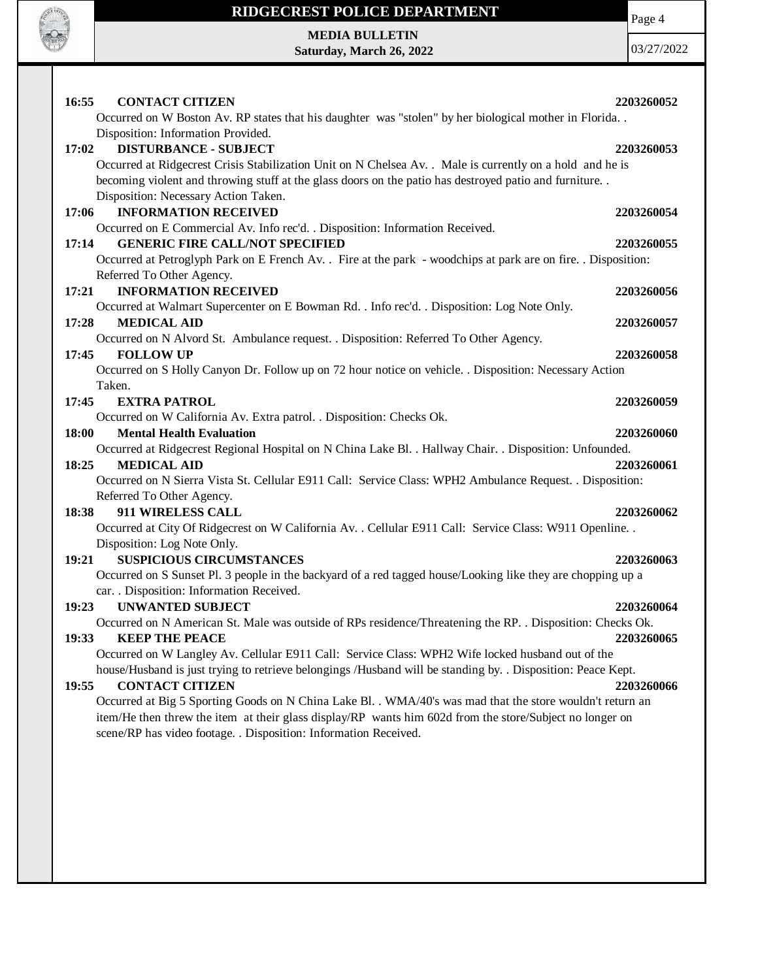

#### **RIDGECREST POLICE DEPARTMENT**

**MEDIA BULLETIN Saturday, March 26, 2022** Page 4

03/27/2022

| 16:55<br><b>CONTACT CITIZEN</b>                                                                                | 2203260052 |
|----------------------------------------------------------------------------------------------------------------|------------|
| Occurred on W Boston Av. RP states that his daughter was "stolen" by her biological mother in Florida          |            |
| Disposition: Information Provided.                                                                             |            |
| <b>DISTURBANCE - SUBJECT</b><br>17:02                                                                          | 2203260053 |
| Occurred at Ridgecrest Crisis Stabilization Unit on N Chelsea Av. . Male is currently on a hold and he is      |            |
| becoming violent and throwing stuff at the glass doors on the patio has destroyed patio and furniture          |            |
| Disposition: Necessary Action Taken.                                                                           |            |
| <b>INFORMATION RECEIVED</b><br>17:06                                                                           | 2203260054 |
| Occurred on E Commercial Av. Info rec'd. . Disposition: Information Received.                                  |            |
| <b>GENERIC FIRE CALL/NOT SPECIFIED</b><br>17:14                                                                | 2203260055 |
| Occurred at Petroglyph Park on E French Av. . Fire at the park - woodchips at park are on fire. . Disposition: |            |
| Referred To Other Agency.                                                                                      |            |
| 17:21<br><b>INFORMATION RECEIVED</b>                                                                           | 2203260056 |
| Occurred at Walmart Supercenter on E Bowman Rd. . Info rec'd. . Disposition: Log Note Only.                    |            |
| <b>MEDICAL AID</b><br>17:28                                                                                    | 2203260057 |
| Occurred on N Alvord St. Ambulance request. . Disposition: Referred To Other Agency.                           |            |
| <b>FOLLOW UP</b><br>17:45                                                                                      | 2203260058 |
| Occurred on S Holly Canyon Dr. Follow up on 72 hour notice on vehicle. . Disposition: Necessary Action         |            |
| Taken.                                                                                                         |            |
| 17:45<br><b>EXTRA PATROL</b>                                                                                   | 2203260059 |
| Occurred on W California Av. Extra patrol. . Disposition: Checks Ok.                                           |            |
| 18:00<br><b>Mental Health Evaluation</b>                                                                       | 2203260060 |
| Occurred at Ridgecrest Regional Hospital on N China Lake Bl. . Hallway Chair. . Disposition: Unfounded.        |            |
| <b>MEDICAL AID</b><br>18:25                                                                                    | 2203260061 |
| Occurred on N Sierra Vista St. Cellular E911 Call: Service Class: WPH2 Ambulance Request. . Disposition:       |            |
| Referred To Other Agency.                                                                                      |            |
| 18:38<br>911 WIRELESS CALL                                                                                     | 2203260062 |
| Occurred at City Of Ridgecrest on W California Av. . Cellular E911 Call: Service Class: W911 Openline. .       |            |
| Disposition: Log Note Only.                                                                                    |            |
| 19:21<br><b>SUSPICIOUS CIRCUMSTANCES</b>                                                                       | 2203260063 |
| Occurred on S Sunset Pl. 3 people in the backyard of a red tagged house/Looking like they are chopping up a    |            |
| car. . Disposition: Information Received.                                                                      |            |
| <b>UNWANTED SUBJECT</b><br>19:23                                                                               | 2203260064 |
| Occurred on N American St. Male was outside of RPs residence/Threatening the RP. . Disposition: Checks Ok.     |            |
| 19:33<br><b>KEEP THE PEACE</b>                                                                                 | 2203260065 |
| Occurred on W Langley Av. Cellular E911 Call: Service Class: WPH2 Wife locked husband out of the               |            |
| house/Husband is just trying to retrieve belongings /Husband will be standing by. . Disposition: Peace Kept.   |            |
| 19:55<br><b>CONTACT CITIZEN</b>                                                                                | 2203260066 |
| Occurred at Big 5 Sporting Goods on N China Lake Bl. . WMA/40's was mad that the store wouldn't return an      |            |
| item/He then threw the item at their glass display/RP wants him 602d from the store/Subject no longer on       |            |
| scene/RP has video footage. . Disposition: Information Received.                                               |            |
|                                                                                                                |            |
|                                                                                                                |            |
|                                                                                                                |            |
|                                                                                                                |            |
|                                                                                                                |            |
|                                                                                                                |            |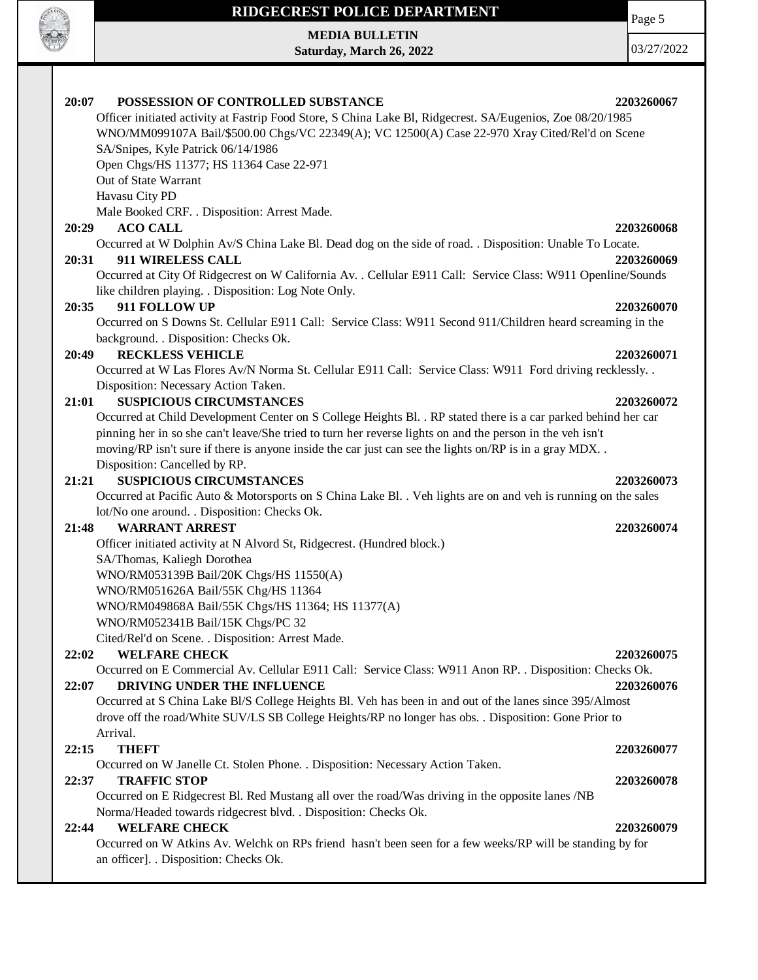# **READER OFFICE**

## **RIDGECREST POLICE DEPARTMENT**

**MEDIA BULLETIN Saturday, March 26, 2022**

03/27/2022

Page 5

| POSSESSION OF CONTROLLED SUBSTANCE<br>20:07                                                                                                         | 2203260067 |
|-----------------------------------------------------------------------------------------------------------------------------------------------------|------------|
| Officer initiated activity at Fastrip Food Store, S China Lake Bl, Ridgecrest. SA/Eugenios, Zoe 08/20/1985                                          |            |
| WNO/MM099107A Bail/\$500.00 Chgs/VC 22349(A); VC 12500(A) Case 22-970 Xray Cited/Rel'd on Scene                                                     |            |
| SA/Snipes, Kyle Patrick 06/14/1986                                                                                                                  |            |
| Open Chgs/HS 11377; HS 11364 Case 22-971                                                                                                            |            |
| Out of State Warrant                                                                                                                                |            |
| Havasu City PD                                                                                                                                      |            |
| Male Booked CRF. . Disposition: Arrest Made.                                                                                                        |            |
| <b>ACO CALL</b><br>20:29                                                                                                                            | 2203260068 |
| Occurred at W Dolphin Av/S China Lake Bl. Dead dog on the side of road. . Disposition: Unable To Locate.                                            |            |
| 911 WIRELESS CALL<br>20:31                                                                                                                          | 2203260069 |
| Occurred at City Of Ridgecrest on W California Av. . Cellular E911 Call: Service Class: W911 Openline/Sounds                                        |            |
| like children playing. . Disposition: Log Note Only.                                                                                                |            |
| 911 FOLLOW UP<br>20:35                                                                                                                              | 2203260070 |
| Occurred on S Downs St. Cellular E911 Call: Service Class: W911 Second 911/Children heard screaming in the                                          |            |
| background. . Disposition: Checks Ok.                                                                                                               |            |
| <b>RECKLESS VEHICLE</b><br>20:49                                                                                                                    | 2203260071 |
| Occurred at W Las Flores Av/N Norma St. Cellular E911 Call: Service Class: W911 Ford driving recklessly. .                                          |            |
| Disposition: Necessary Action Taken.                                                                                                                |            |
| <b>SUSPICIOUS CIRCUMSTANCES</b><br>21:01                                                                                                            | 2203260072 |
| Occurred at Child Development Center on S College Heights Bl. . RP stated there is a car parked behind her car                                      |            |
| pinning her in so she can't leave/She tried to turn her reverse lights on and the person in the veh isn't                                           |            |
| moving/RP isn't sure if there is anyone inside the car just can see the lights on/RP is in a gray MDX                                               |            |
| Disposition: Cancelled by RP.                                                                                                                       |            |
| <b>SUSPICIOUS CIRCUMSTANCES</b><br>21:21                                                                                                            | 2203260073 |
| Occurred at Pacific Auto & Motorsports on S China Lake Bl. . Veh lights are on and veh is running on the sales                                      |            |
| lot/No one around. . Disposition: Checks Ok.                                                                                                        |            |
| <b>WARRANT ARREST</b><br>21:48                                                                                                                      | 2203260074 |
| Officer initiated activity at N Alvord St, Ridgecrest. (Hundred block.)                                                                             |            |
| SA/Thomas, Kaliegh Dorothea                                                                                                                         |            |
| WNO/RM053139B Bail/20K Chgs/HS 11550(A)                                                                                                             |            |
| WNO/RM051626A Bail/55K Chg/HS 11364                                                                                                                 |            |
| WNO/RM049868A Bail/55K Chgs/HS 11364; HS 11377(A)                                                                                                   |            |
| WNO/RM052341B Bail/15K Chgs/PC 32                                                                                                                   |            |
| Cited/Rel'd on Scene. . Disposition: Arrest Made.                                                                                                   |            |
| <b>WELFARE CHECK</b><br>22:02                                                                                                                       | 2203260075 |
| Occurred on E Commercial Av. Cellular E911 Call: Service Class: W911 Anon RP. . Disposition: Checks Ok.                                             |            |
| DRIVING UNDER THE INFLUENCE<br>22:07                                                                                                                | 2203260076 |
| Occurred at S China Lake Bl/S College Heights Bl. Veh has been in and out of the lanes since 395/Almost                                             |            |
| drove off the road/White SUV/LS SB College Heights/RP no longer has obs. . Disposition: Gone Prior to                                               |            |
| Arrival.                                                                                                                                            |            |
| <b>THEFT</b><br>22:15                                                                                                                               | 2203260077 |
| Occurred on W Janelle Ct. Stolen Phone. . Disposition: Necessary Action Taken.                                                                      |            |
| <b>TRAFFIC STOP</b>                                                                                                                                 |            |
| 22:37<br>Occurred on E Ridgecrest Bl. Red Mustang all over the road/Was driving in the opposite lanes /NB                                           | 2203260078 |
| Norma/Headed towards ridgecrest blvd. . Disposition: Checks Ok.                                                                                     |            |
| <b>WELFARE CHECK</b><br>22:44                                                                                                                       | 2203260079 |
|                                                                                                                                                     |            |
| Occurred on W Atkins Av. Welchk on RPs friend hasn't been seen for a few weeks/RP will be standing by for<br>an officer]. . Disposition: Checks Ok. |            |